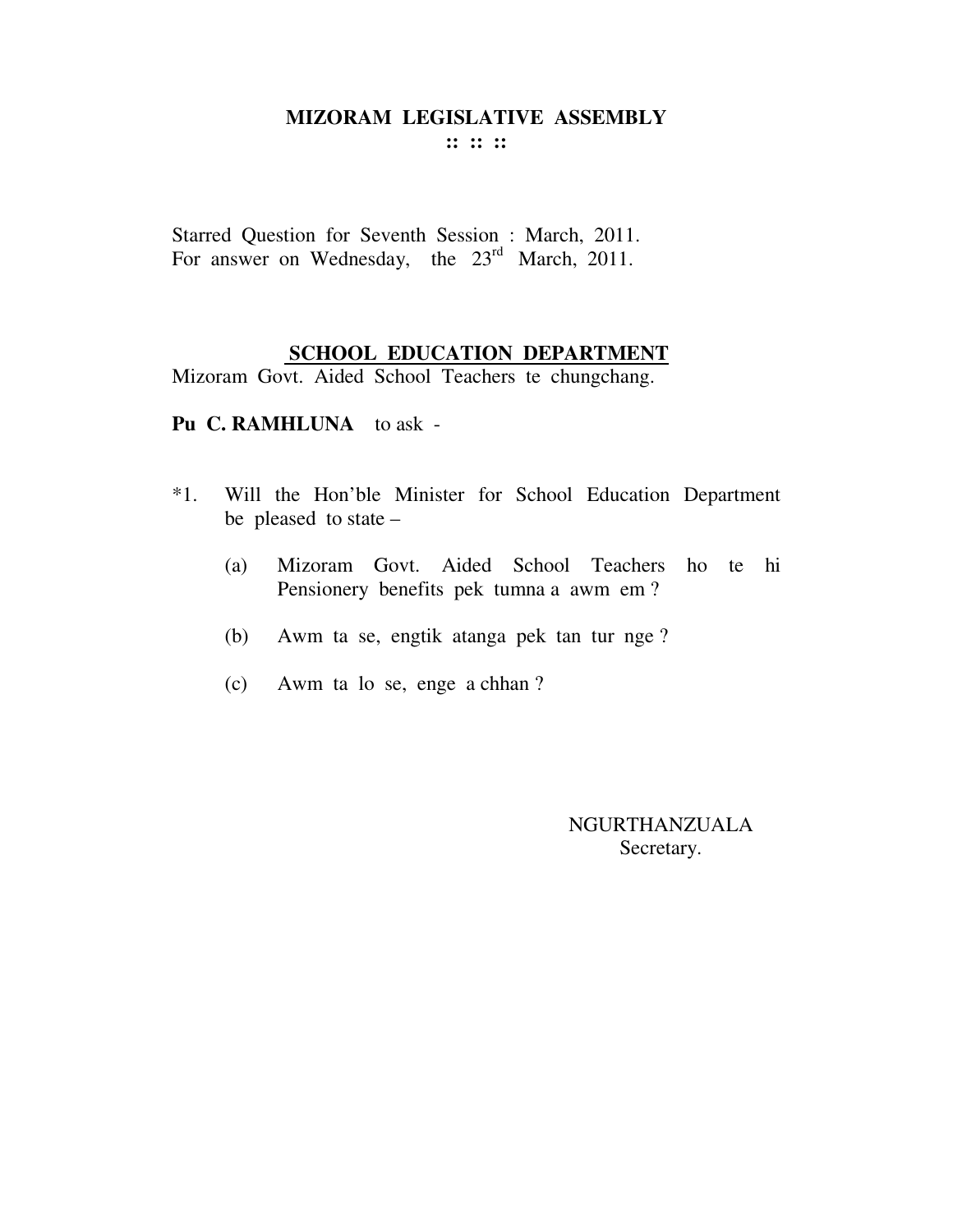**:: :: ::** 

Starred Question for Seventh Session : March, 2011. For answer on Wednesday, the 23<sup>rd</sup> March, 2011.

### **SCHOOL EDUCATION DEPARTMENT**

Mizoram Govt. Aided School Teachers te chungchang.

**Pu C. RAMHLUNA** to ask -

- \*1. Will the Hon'ble Minister for School Education Department be pleased to state –
	- (a) Mizoram Govt. Aided School Teachers ho te hi Pensionery benefits pek tumna a awm em ?
	- (b) Awm ta se, engtik atanga pek tan tur nge ?
	- (c) Awm ta lo se, enge a chhan ?

NGURTHANZUALA Secretary.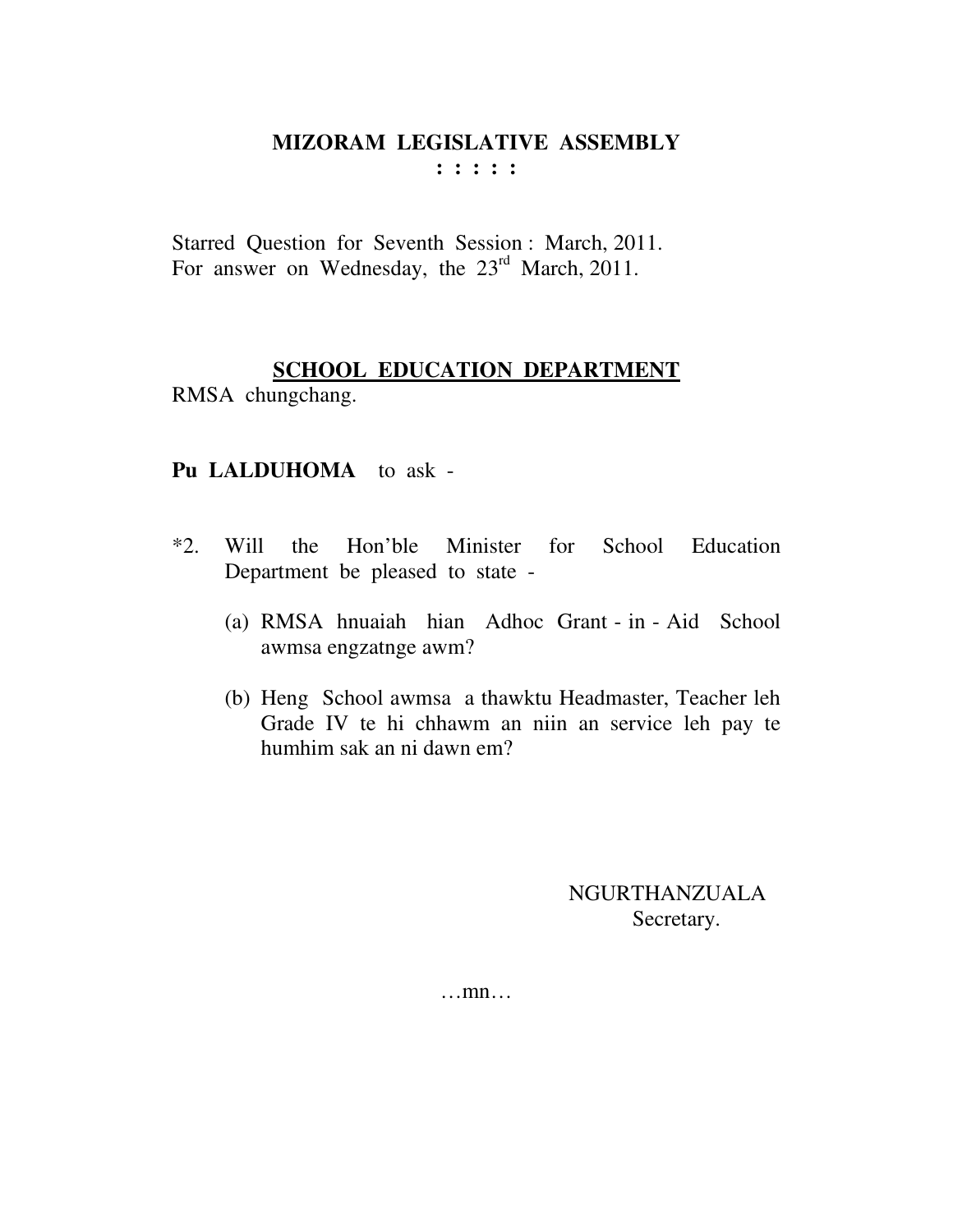**: : : : :** 

Starred Question for Seventh Session : March, 2011. For answer on Wednesday, the 23<sup>rd</sup> March, 2011.

## **SCHOOL EDUCATION DEPARTMENT**

RMSA chungchang.

## **Pu LALDUHOMA** to ask -

- \*2. Will the Hon'ble Minister for School Education Department be pleased to state -
	- (a) RMSA hnuaiah hian Adhoc Grant in Aid School awmsa engzatnge awm?
	- (b) Heng School awmsa a thawktu Headmaster, Teacher leh Grade IV te hi chhawm an niin an service leh pay te humhim sak an ni dawn em?

 NGURTHANZUALA Secretary.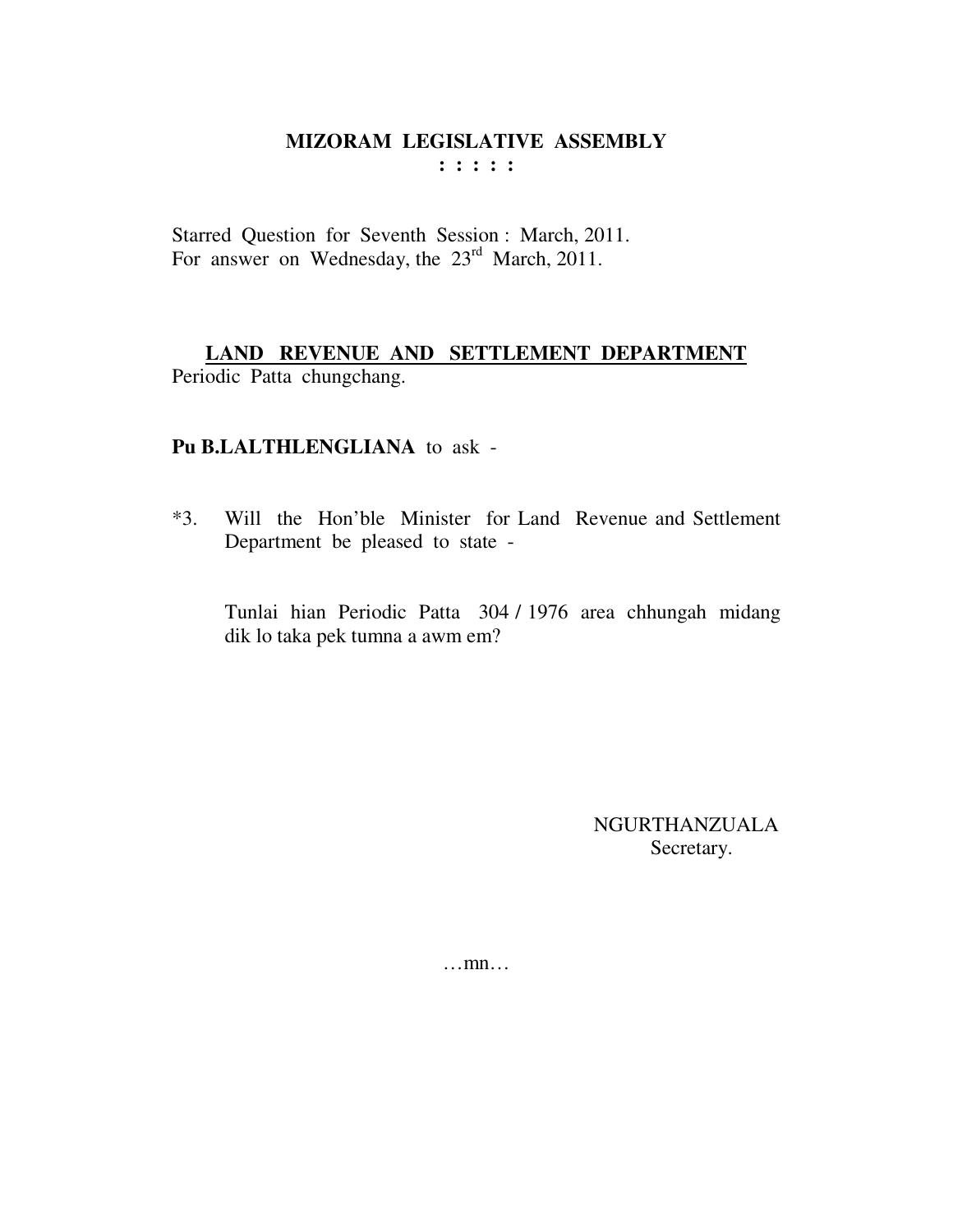Starred Question for Seventh Session: March, 2011. For answer on Wednesday, the 23<sup>rd</sup> March, 2011.

## LAND REVENUE AND SETTLEMENT DEPARTMENT Periodic Patta chungchang.

## Pu B.LALTHLENGLIANA to ask -

 $*3.$ Will the Hon'ble Minister for Land Revenue and Settlement Department be pleased to state -

Tunlai hian Periodic Patta 304 / 1976 area chhungah midang dik lo taka pek tumna a awm em?

> **NGURTHANZUALA** Secretary.

 $\dots$ mn $\dots$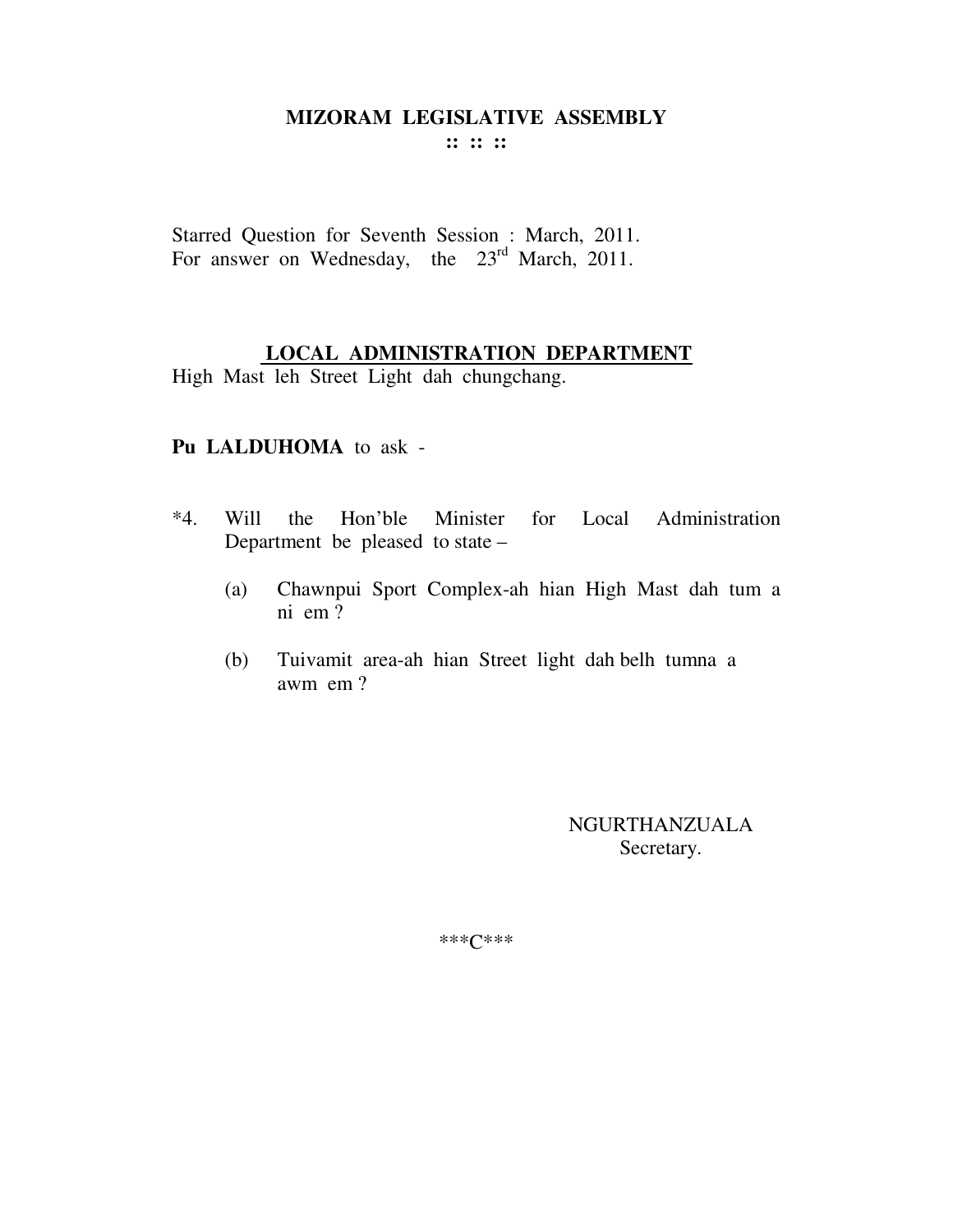**:: :: ::** 

Starred Question for Seventh Session : March, 2011. For answer on Wednesday, the 23<sup>rd</sup> March, 2011.

## **LOCAL ADMINISTRATION DEPARTMENT**

High Mast leh Street Light dah chungchang.

#### **Pu LALDUHOMA** to ask -

- \*4. Will the Hon'ble Minister for Local Administration Department be pleased to state –
	- (a) Chawnpui Sport Complex-ah hian High Mast dah tum a ni em ?
	- (b) Tuivamit area-ah hian Street light dah belh tumna a awm em ?

NGURTHANZUALA Secretary.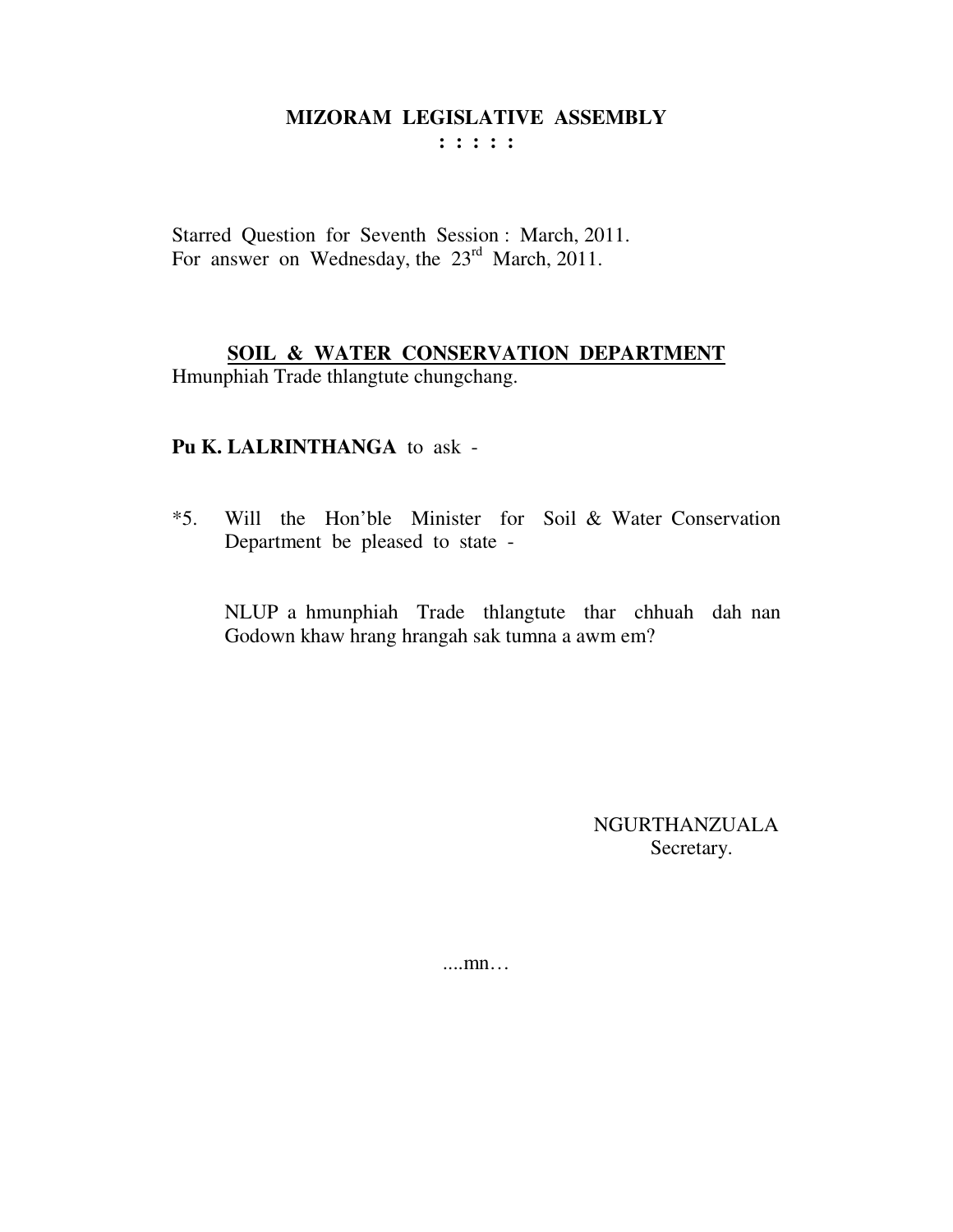: : : : :

Starred Question for Seventh Session: March, 2011. For answer on Wednesday, the 23<sup>rd</sup> March, 2011.

### SOIL & WATER CONSERVATION DEPARTMENT

Hmunphiah Trade thlangtute chungchang.

## Pu K. LALRINTHANGA to ask -

 $*5.$ Will the Hon'ble Minister for Soil & Water Conservation Department be pleased to state -

NLUP a hmunphiah Trade thangtute thar chhuah dah nan Godown khaw hrang hrangah sak tumna a awm em?

> **NGURTHANZUALA** Secretary.

 $\dots$  mn $\dots$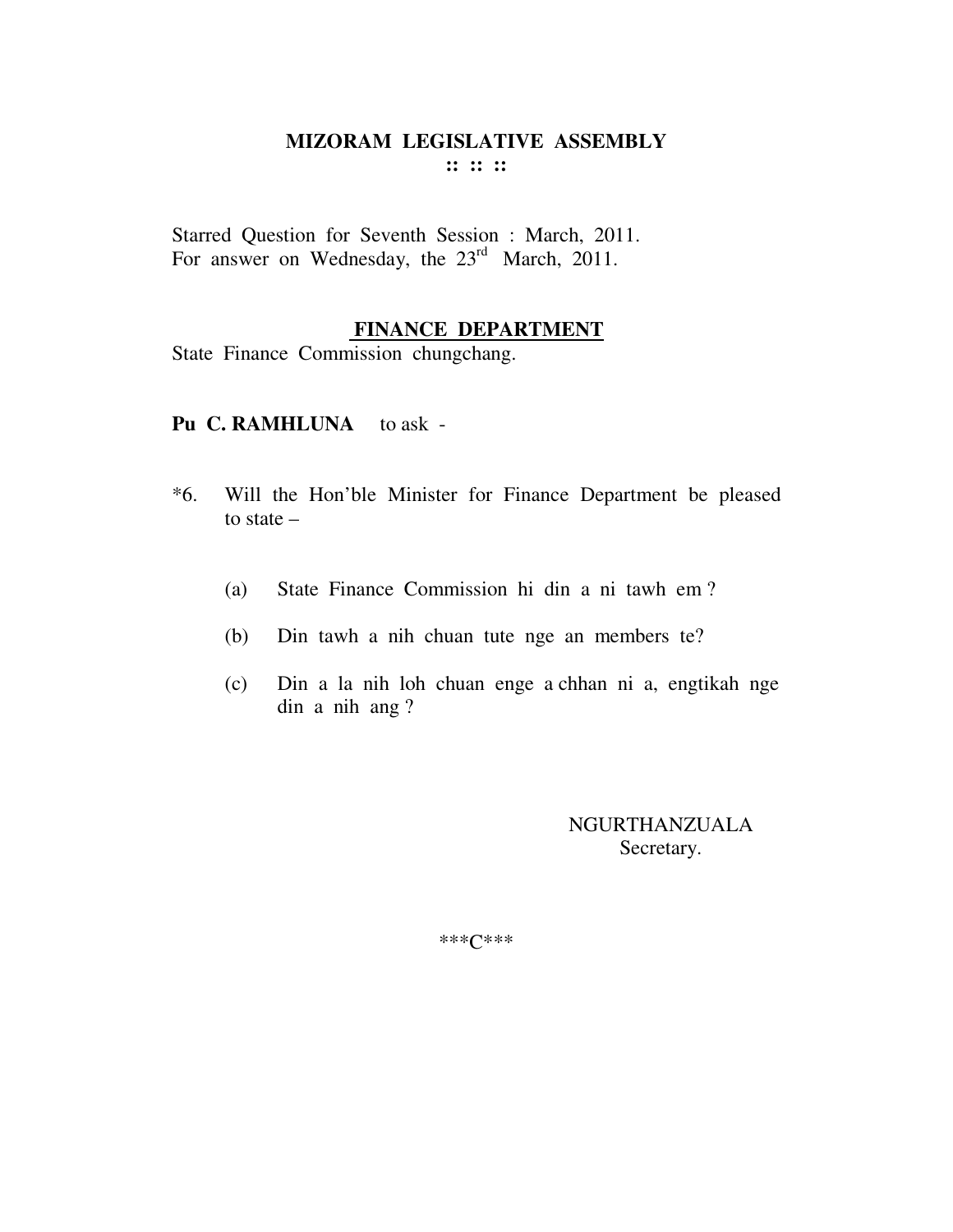Starred Question for Seventh Session : March, 2011. For answer on Wednesday, the 23<sup>rd</sup> March, 2011.

#### **FINANCE DEPARTMENT**

State Finance Commission chungchang.

#### Pu C. RAMHLUNA to ask -

- \*6. Will the Hon'ble Minister for Finance Department be pleased to state –
	- (a) State Finance Commission hi din a ni tawh em ?
	- (b) Din tawh a nih chuan tute nge an members te?
	- (c) Din a la nih loh chuan enge a chhan ni a, engtikah nge din a nih ang ?

NGURTHANZUALA Secretary.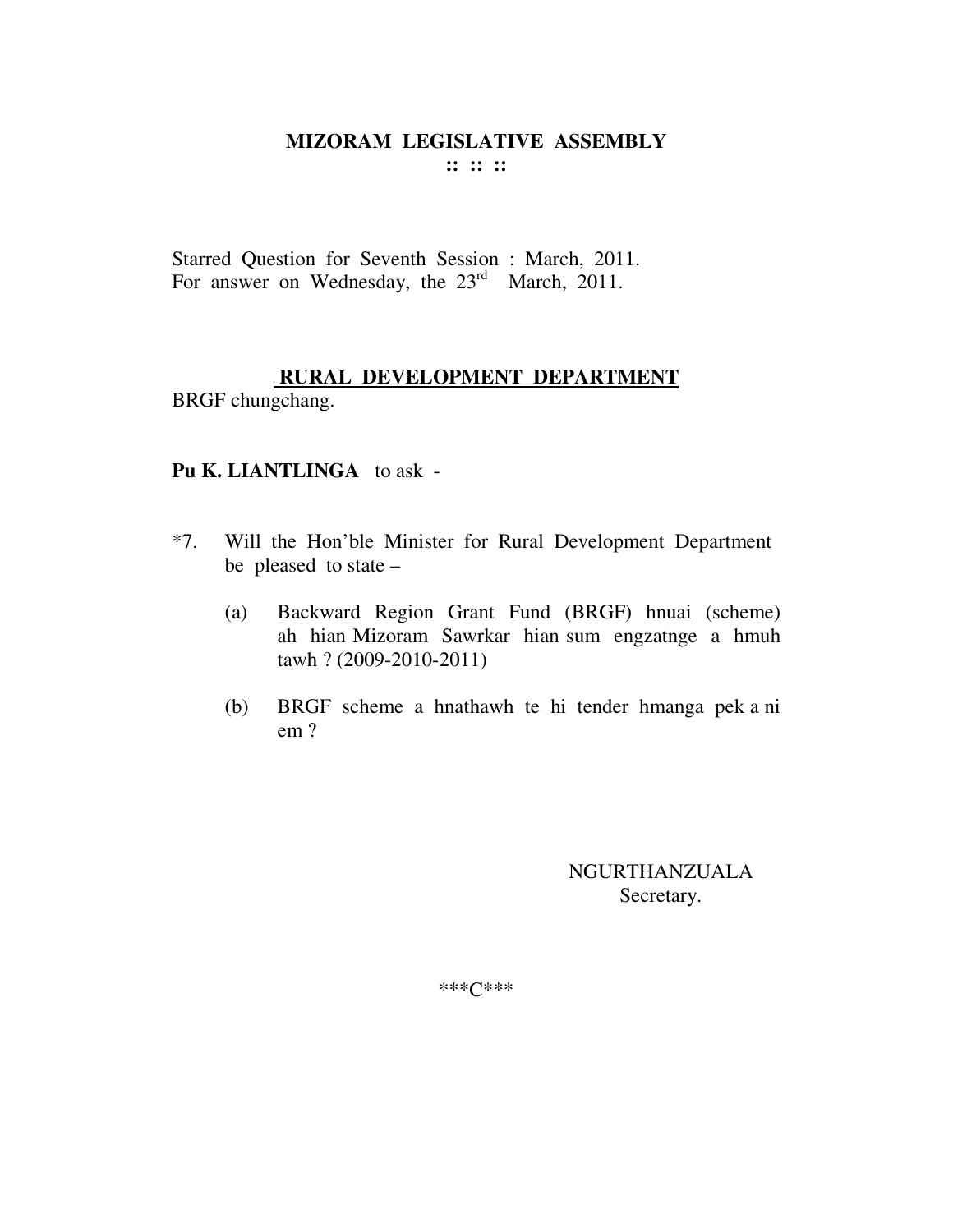Starred Question for Seventh Session : March, 2011. For answer on Wednesday, the  $23<sup>rd</sup>$  March, 2011.

#### **RURAL DEVELOPMENT DEPARTMENT** BRGF chungchang.

#### **Pu K. LIANTLINGA** to ask -

- \*7. Will the Hon'ble Minister for Rural Development Department be pleased to state –
	- (a) Backward Region Grant Fund (BRGF) hnuai (scheme) ah hian Mizoram Sawrkar hian sum engzatnge a hmuh tawh ? (2009-2010-2011)
	- (b) BRGF scheme a hnathawh te hi tender hmanga pek a ni em ?

NGURTHANZUALA Secretary.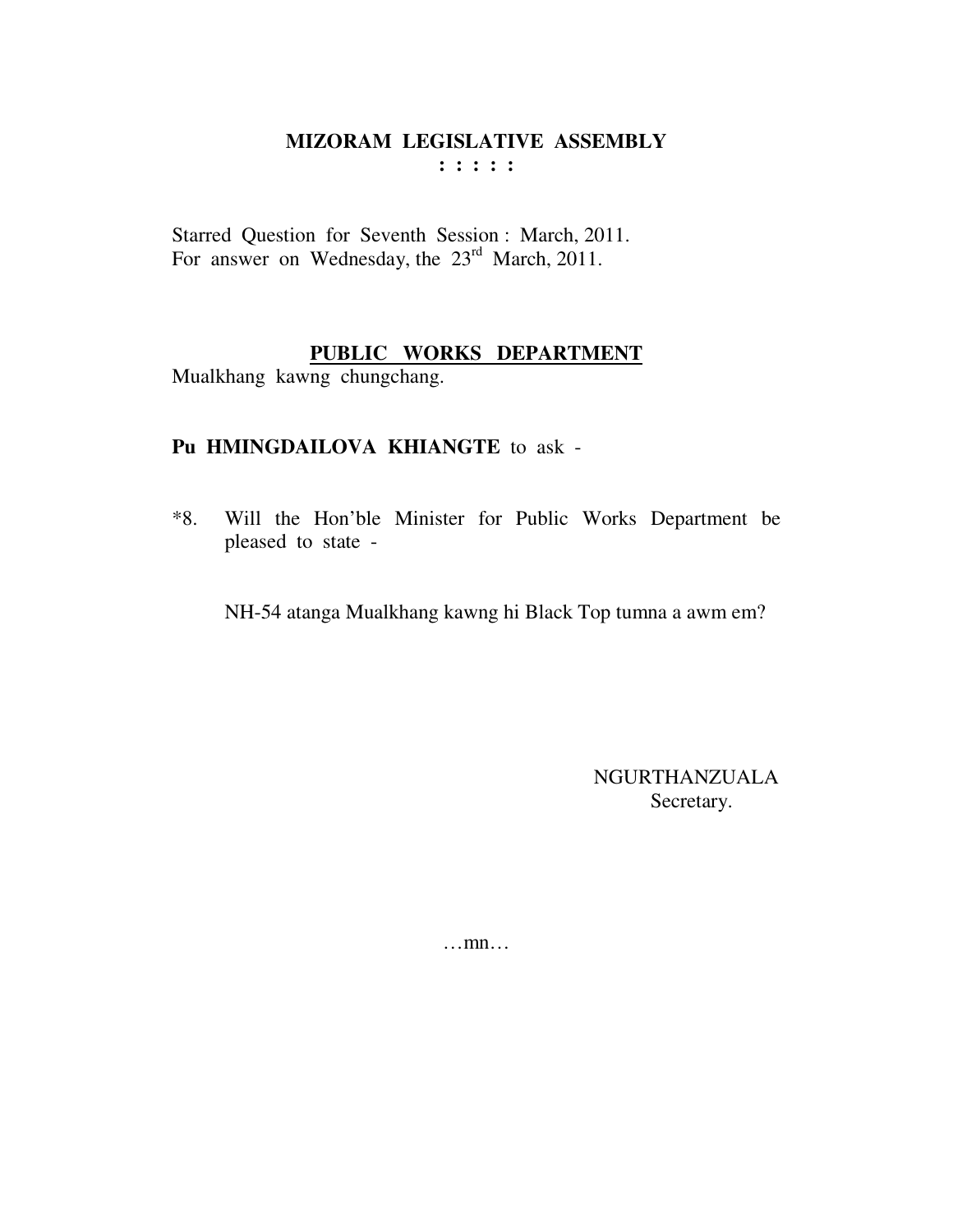Starred Question for Seventh Session : March, 2011. For answer on Wednesday, the 23<sup>rd</sup> March, 2011.

## **PUBLIC WORKS DEPARTMENT**

Mualkhang kawng chungchang.

## **Pu HMINGDAILOVA KHIANGTE** to ask -

\*8. Will the Hon'ble Minister for Public Works Department be pleased to state -

NH-54 atanga Mualkhang kawng hi Black Top tumna a awm em?

NGURTHANZUALA Secretary.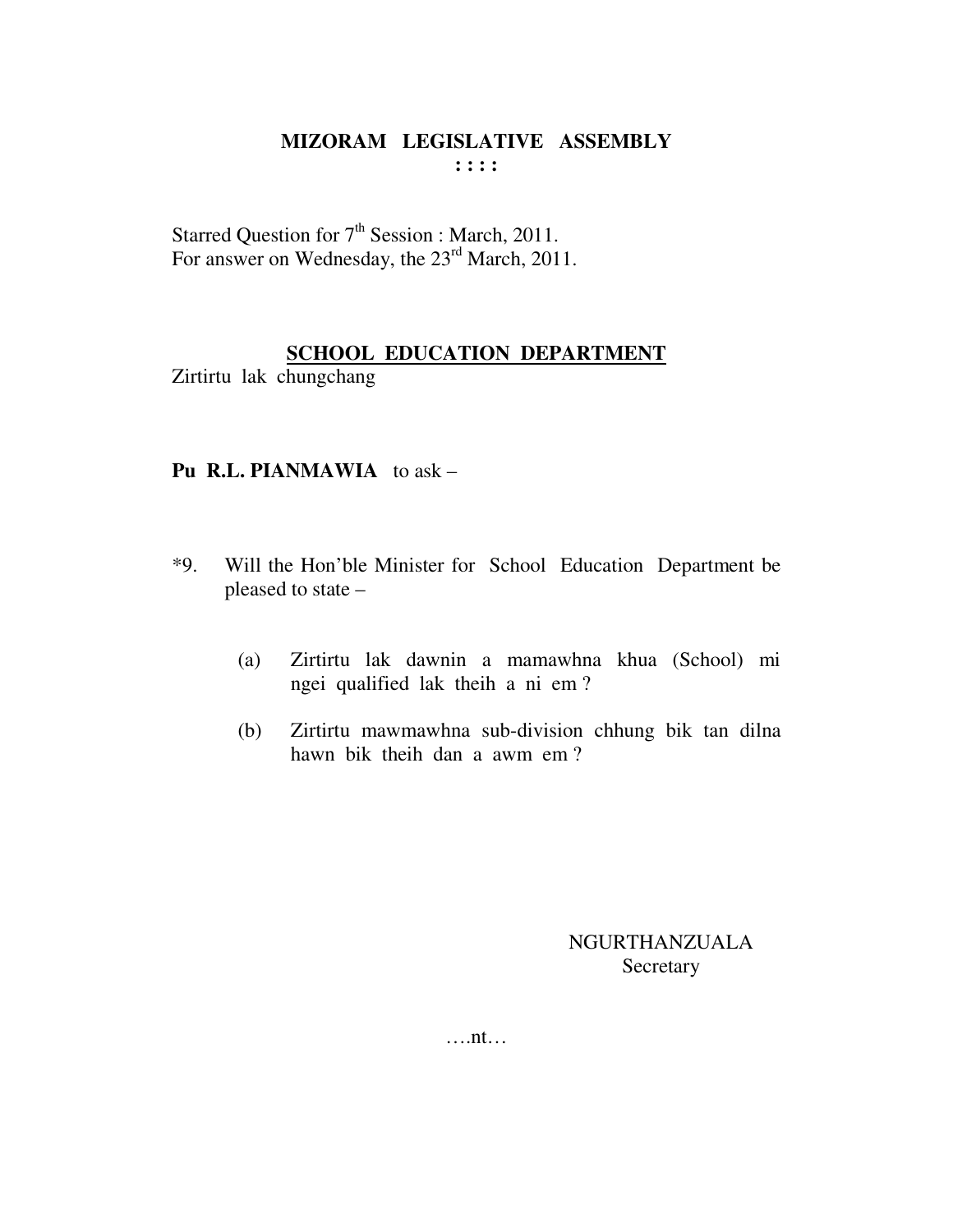Starred Question for  $7<sup>th</sup>$  Session : March, 2011. For answer on Wednesday, the 23<sup>rd</sup> March, 2011.

#### **SCHOOL EDUCATION DEPARTMENT**

Zirtirtu lak chungchang

#### **Pu R.L. PIANMAWIA** to ask –

- \*9. Will the Hon'ble Minister for School Education Department be pleased to state –
	- (a) Zirtirtu lak dawnin a mamawhna khua (School) mi ngei qualified lak theih a ni em ?
	- (b) Zirtirtu mawmawhna sub-division chhung bik tan dilna hawn bik theih dan a awm em ?

NGURTHANZUALA Secretary

….nt…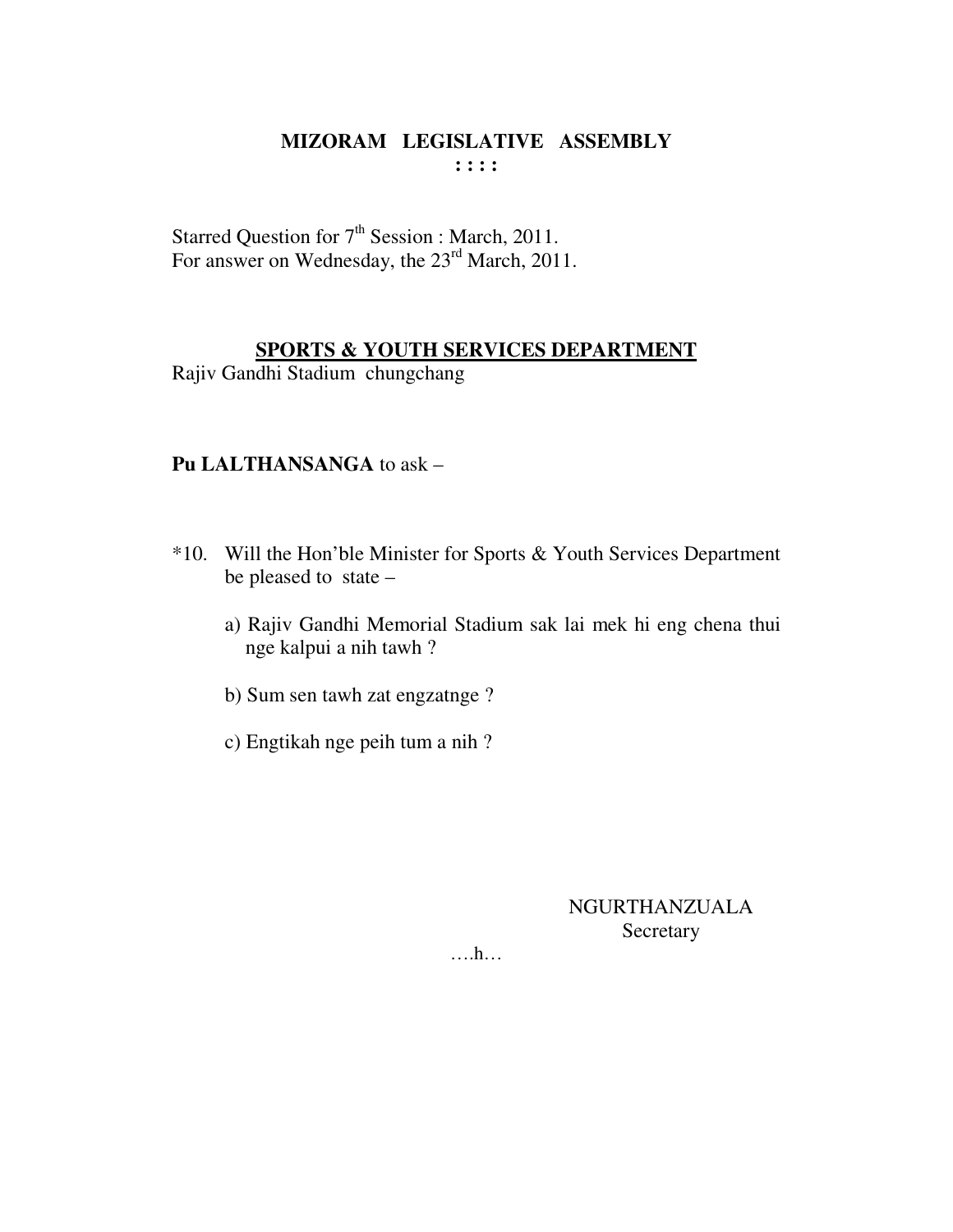Starred Question for  $7<sup>th</sup>$  Session : March, 2011. For answer on Wednesday, the 23<sup>rd</sup> March, 2011.

#### **SPORTS & YOUTH SERVICES DEPARTMENT**

Rajiv Gandhi Stadium chungchang

### **Pu LALTHANSANGA** to ask –

- \*10. Will the Hon'ble Minister for Sports & Youth Services Department be pleased to state –
	- a) Rajiv Gandhi Memorial Stadium sak lai mek hi eng chena thui nge kalpui a nih tawh ?
	- b) Sum sen tawh zat engzatnge ?
	- c) Engtikah nge peih tum a nih ?

NGURTHANZUALA Secretary

….h…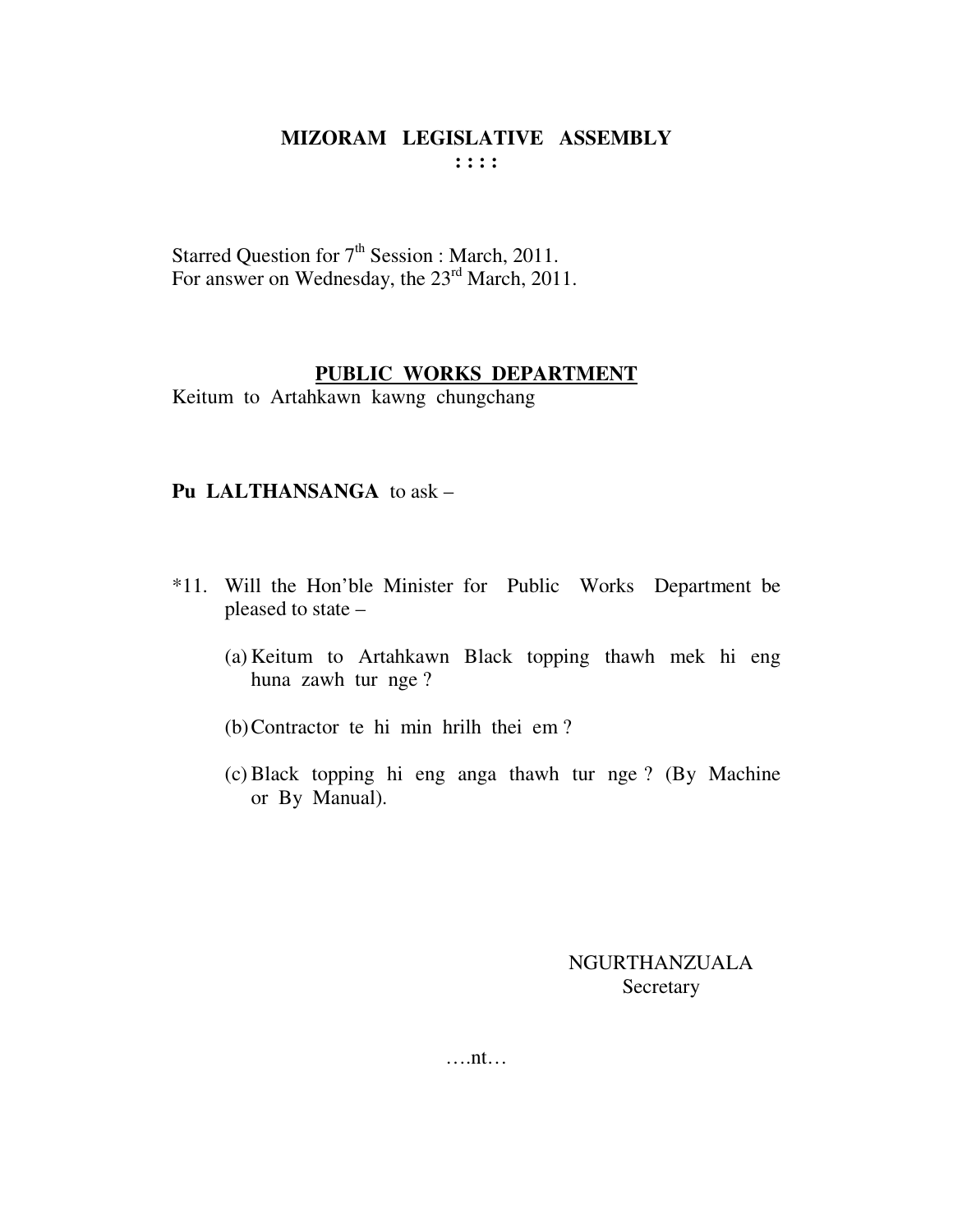Starred Question for  $7<sup>th</sup>$  Session : March, 2011. For answer on Wednesday, the 23<sup>rd</sup> March, 2011.

## **PUBLIC WORKS DEPARTMENT**

Keitum to Artahkawn kawng chungchang

## **Pu LALTHANSANGA** to ask –

- \*11. Will the Hon'ble Minister for Public Works Department be pleased to state –
	- (a) Keitum to Artahkawn Black topping thawh mek hi eng huna zawh tur nge ?
	- (b)Contractor te hi min hrilh thei em ?
	- (c) Black topping hi eng anga thawh tur nge ? (By Machine or By Manual).

## NGURTHANZUALA Secretary

….nt…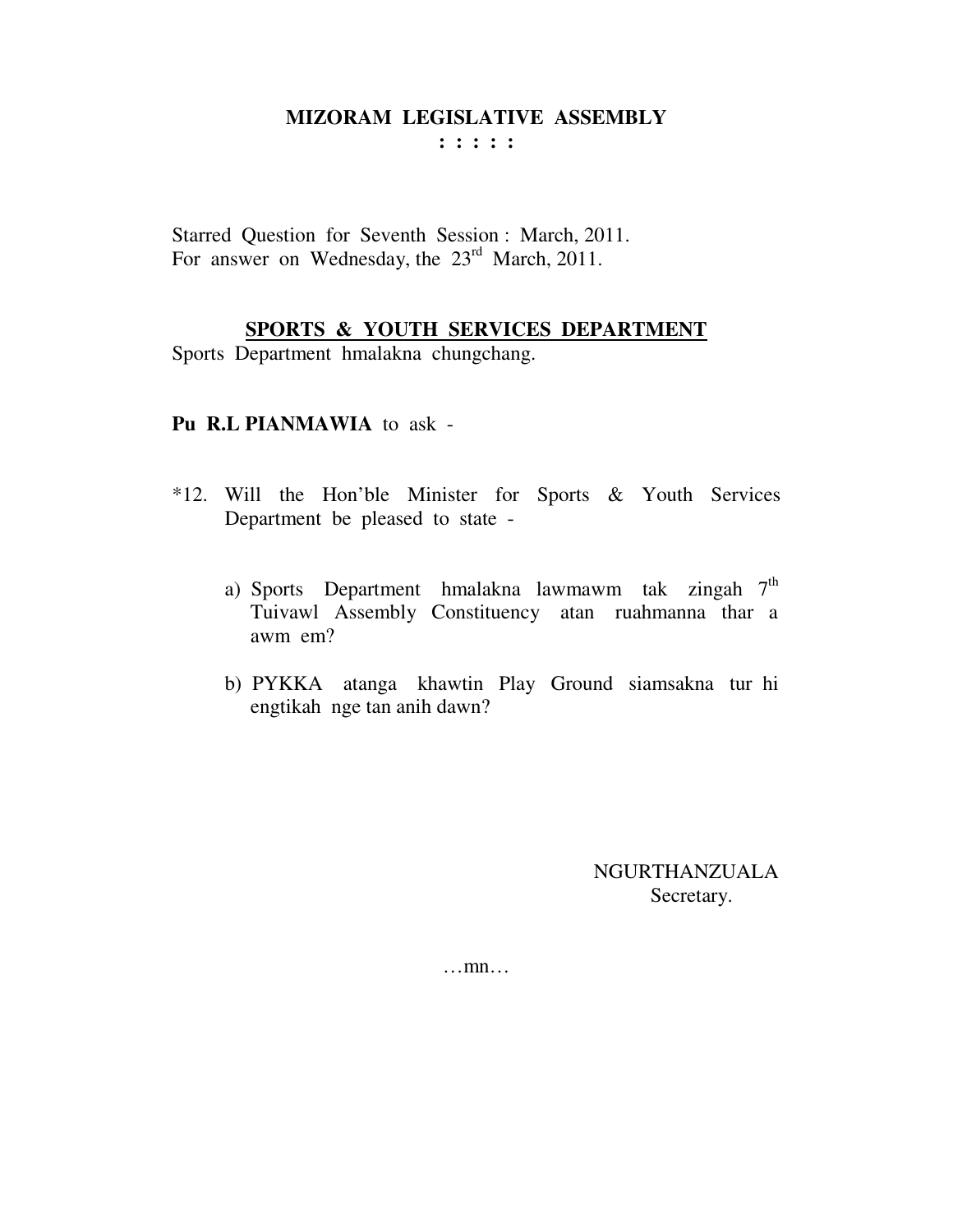**: : : : :** 

Starred Question for Seventh Session : March, 2011. For answer on Wednesday, the 23<sup>rd</sup> March, 2011.

#### **SPORTS & YOUTH SERVICES DEPARTMENT**

Sports Department hmalakna chungchang.

#### **Pu R.L PIANMAWIA** to ask -

- \*12. Will the Hon'ble Minister for Sports & Youth Services Department be pleased to state
	- a) Sports Department hmalakna lawmawm tak zingah 7<sup>th</sup> Tuivawl Assembly Constituency atan ruahmanna thar a awm em?
	- b) PYKKA atanga khawtin Play Ground siamsakna tur hi engtikah nge tan anih dawn?

NGURTHANZUALA Secretary.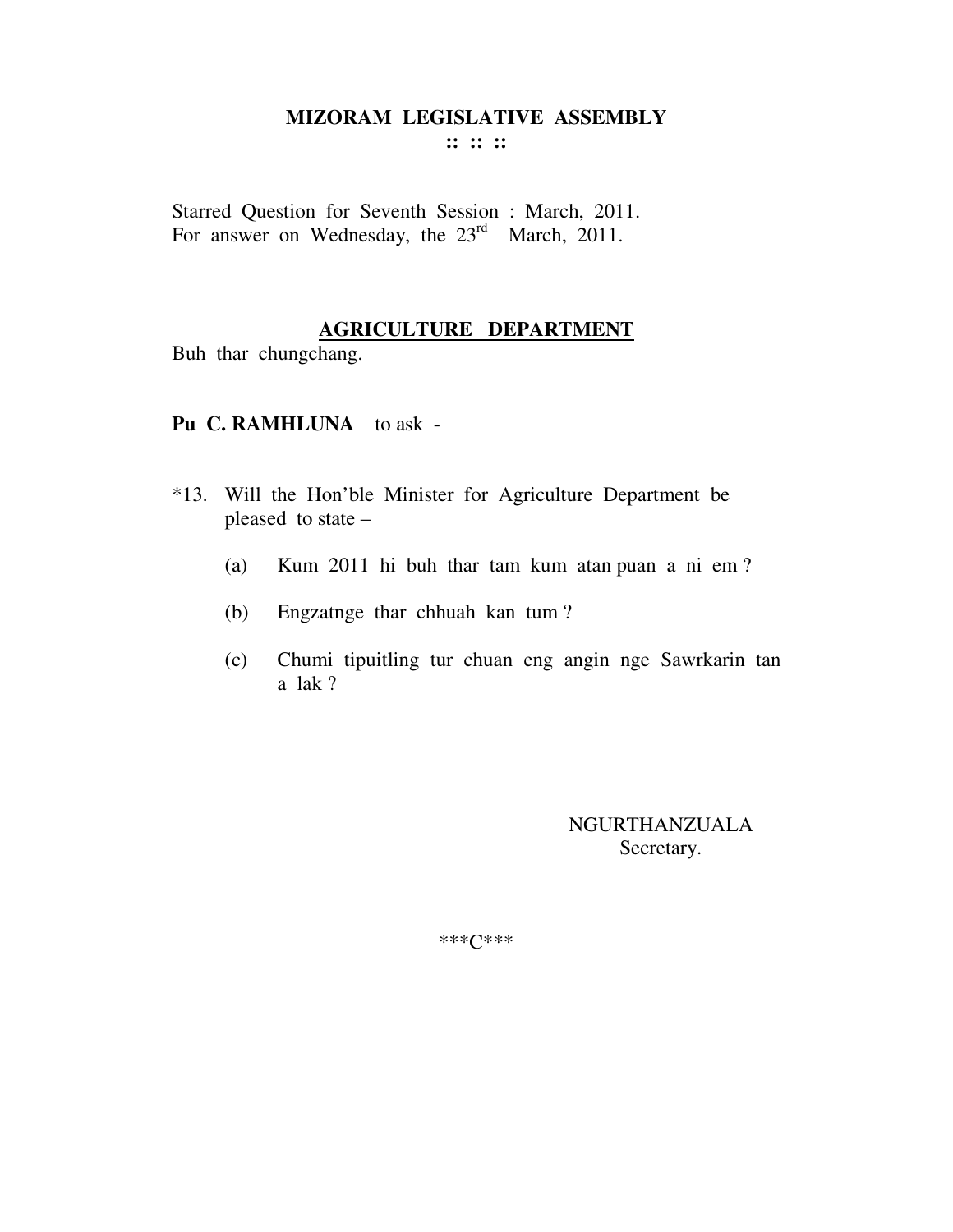**:: :: ::** 

Starred Question for Seventh Session : March, 2011. For answer on Wednesday, the 23<sup>rd</sup> March, 2011.

#### **AGRICULTURE DEPARTMENT**

Buh thar chungchang.

#### **Pu C. RAMHLUNA** to ask -

- \*13. Will the Hon'ble Minister for Agriculture Department be pleased to state –
	- (a) Kum 2011 hi buh thar tam kum atan puan a ni em ?
	- (b) Engzatnge thar chhuah kan tum ?
	- (c) Chumi tipuitling tur chuan eng angin nge Sawrkarin tan a lak ?

NGURTHANZUALA Secretary.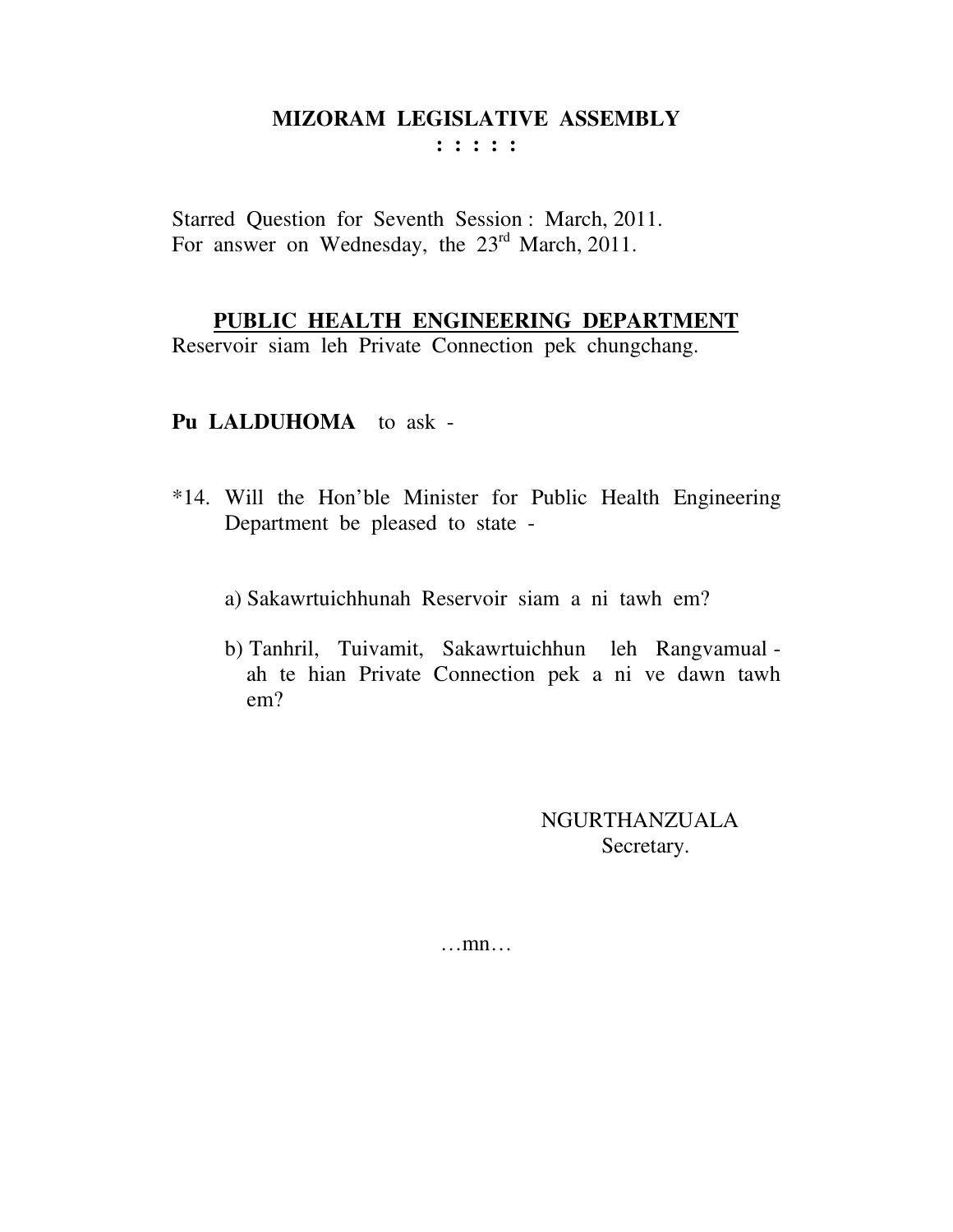**: : : : :** 

Starred Question for Seventh Session : March, 2011. For answer on Wednesday, the 23<sup>rd</sup> March, 2011.

## **PUBLIC HEALTH ENGINEERING DEPARTMENT**

Reservoir siam leh Private Connection pek chungchang.

## **Pu LALDUHOMA** to ask -

- \*14. Will the Hon'ble Minister for Public Health Engineering Department be pleased to state
	- a) Sakawrtuichhunah Reservoir siam a ni tawh em?
	- b) Tanhril, Tuivamit, Sakawrtuichhun leh Rangvamual ah te hian Private Connection pek a ni ve dawn tawh em?

NGURTHANZUALA Secretary.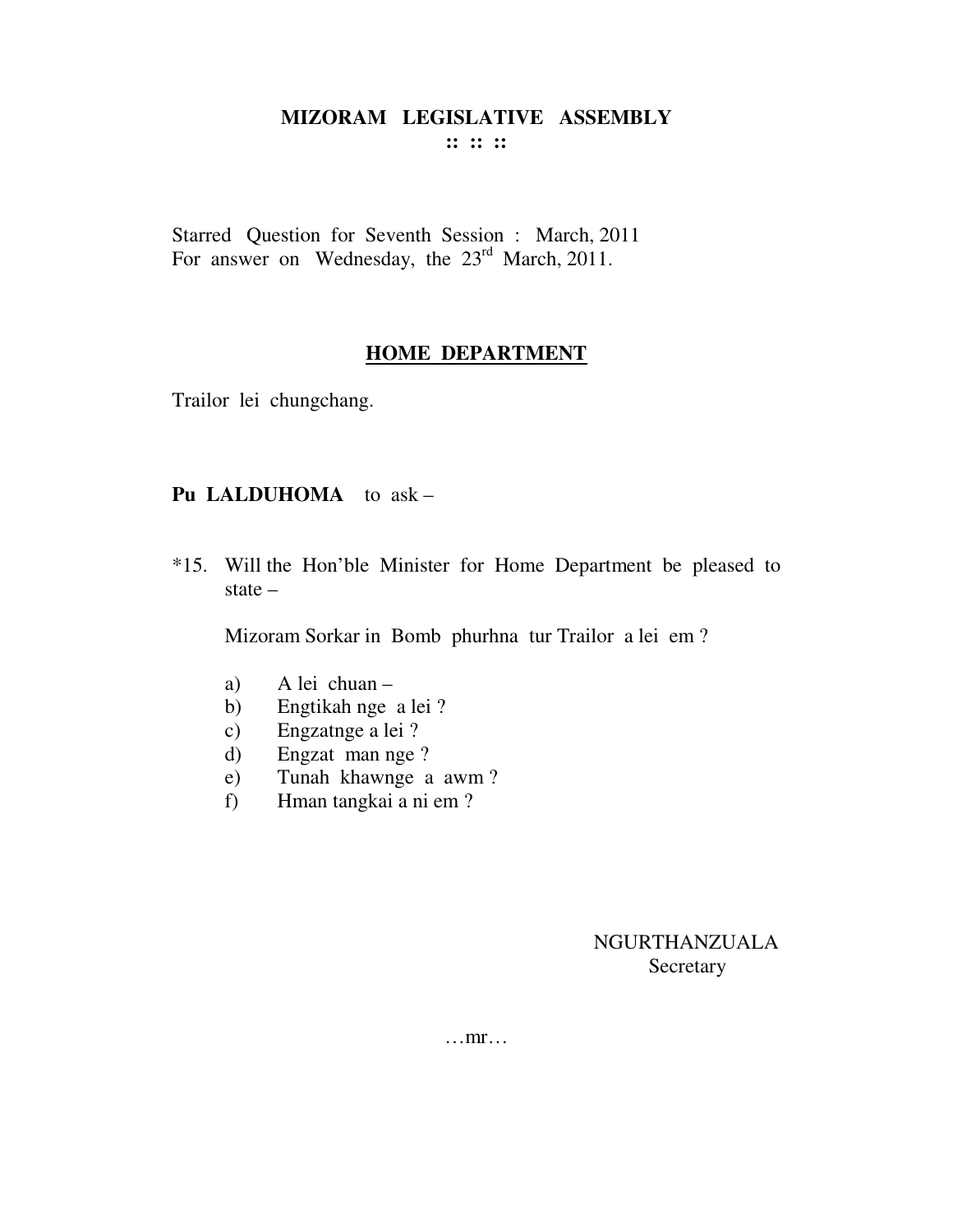**:: :: ::** 

Starred Question for Seventh Session : March, 2011 For answer on Wednesday, the 23<sup>rd</sup> March, 2011.

#### **HOME DEPARTMENT**

Trailor lei chungchang.

#### **Pu LALDUHOMA** to ask –

\*15. Will the Hon'ble Minister for Home Department be pleased to state –

Mizoram Sorkar in Bomb phurhna tur Trailor a lei em ?

- a) A lei chuan –
- b) Engtikah nge a lei ?
- c) Engzatnge a lei ?
- d) Engzat man nge ?
- e) Tunah khawnge a awm ?
- f) Hman tangkai a ni em ?

NGURTHANZUALA Secretary

…mr…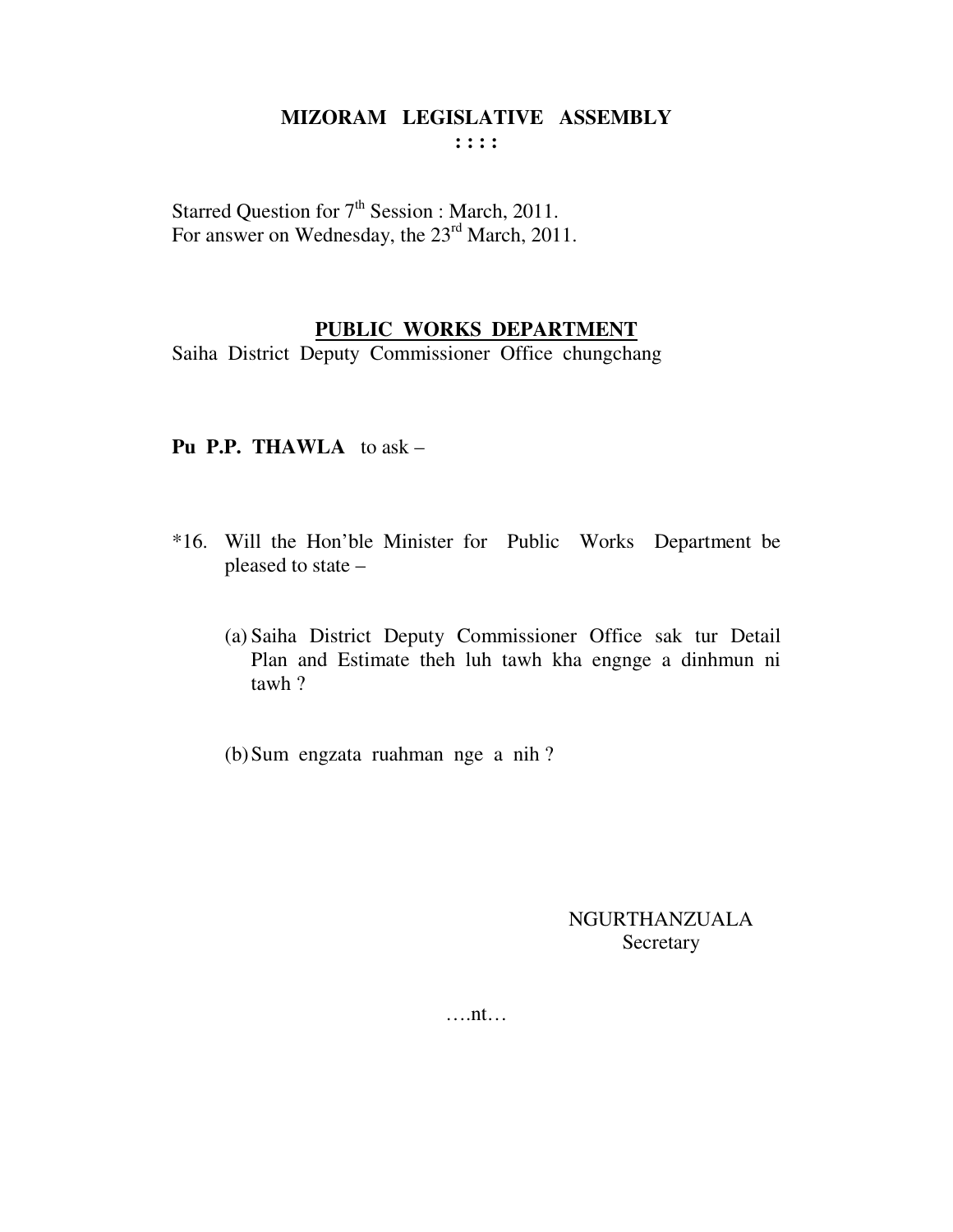Starred Question for 7<sup>th</sup> Session : March, 2011. For answer on Wednesday, the  $23<sup>rd</sup> March, 2011$ .

#### PUBLIC WORKS DEPARTMENT

Saiha District Deputy Commissioner Office chungchang

#### **Pu P.P. THAWLA** to  $ask -$

- \*16. Will the Hon'ble Minister for Public Works Department be pleased to state -
	- (a) Saiha District Deputy Commissioner Office sak tur Detail Plan and Estimate theh luh tawh kha engnge a dinhmun ni tawh?
	- (b) Sum engzata ruahman nge a nih?

**NGURTHANZUALA** Secretary

 $\dots$ nt $\dots$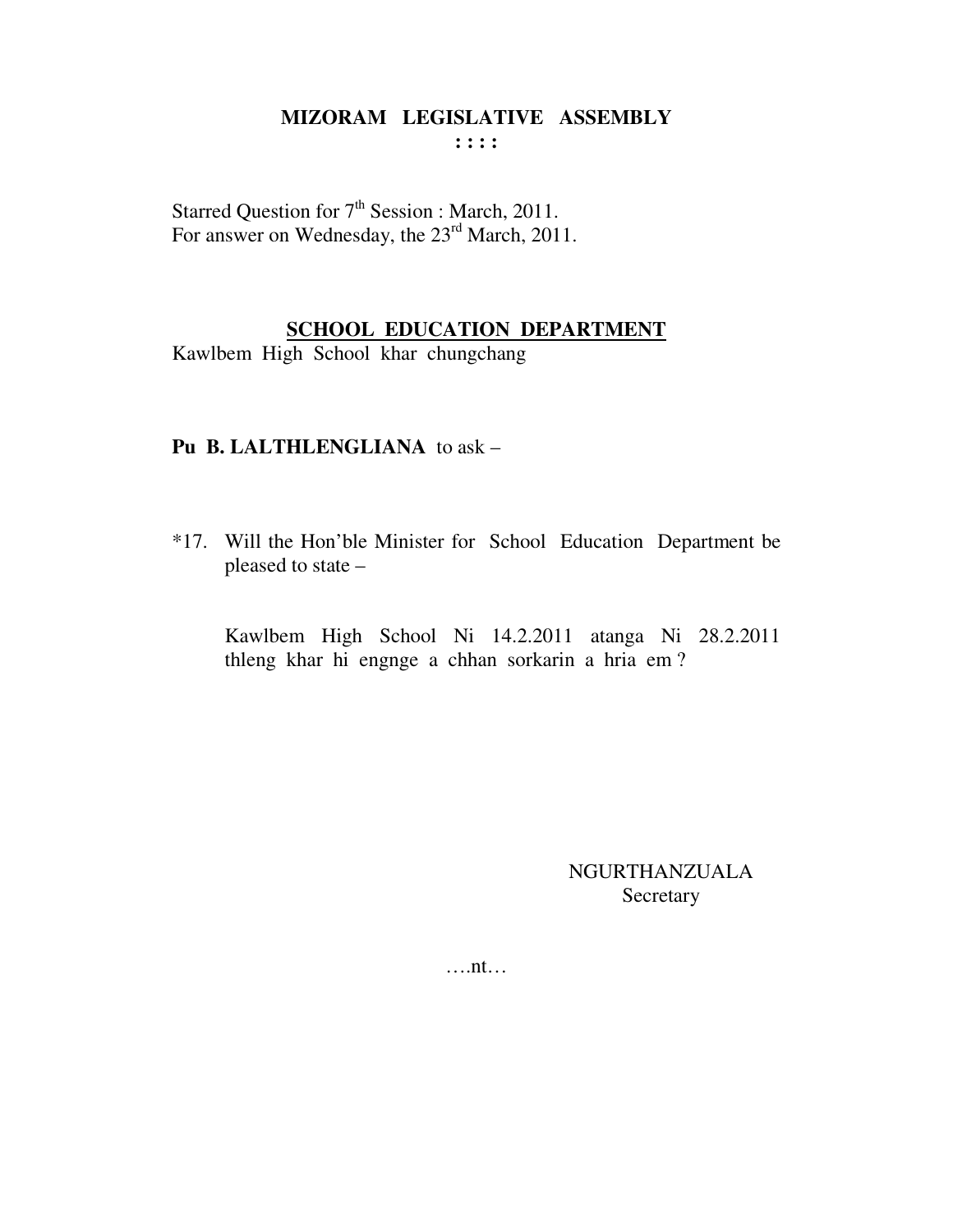Starred Question for 7<sup>th</sup> Session : March, 2011. For answer on Wednesday, the  $23<sup>rd</sup>$  March, 2011.

## **SCHOOL EDUCATION DEPARTMENT**

Kawlbem High School khar chungchang

#### **Pu B. LALTHLENGLIANA** to ask –

\*17. Will the Hon'ble Minister for School Education Department be pleased to state –

 Kawlbem High School Ni 14.2.2011 atanga Ni 28.2.2011 thleng khar hi engnge a chhan sorkarin a hria em ?

> NGURTHANZUALA Secretary

….nt…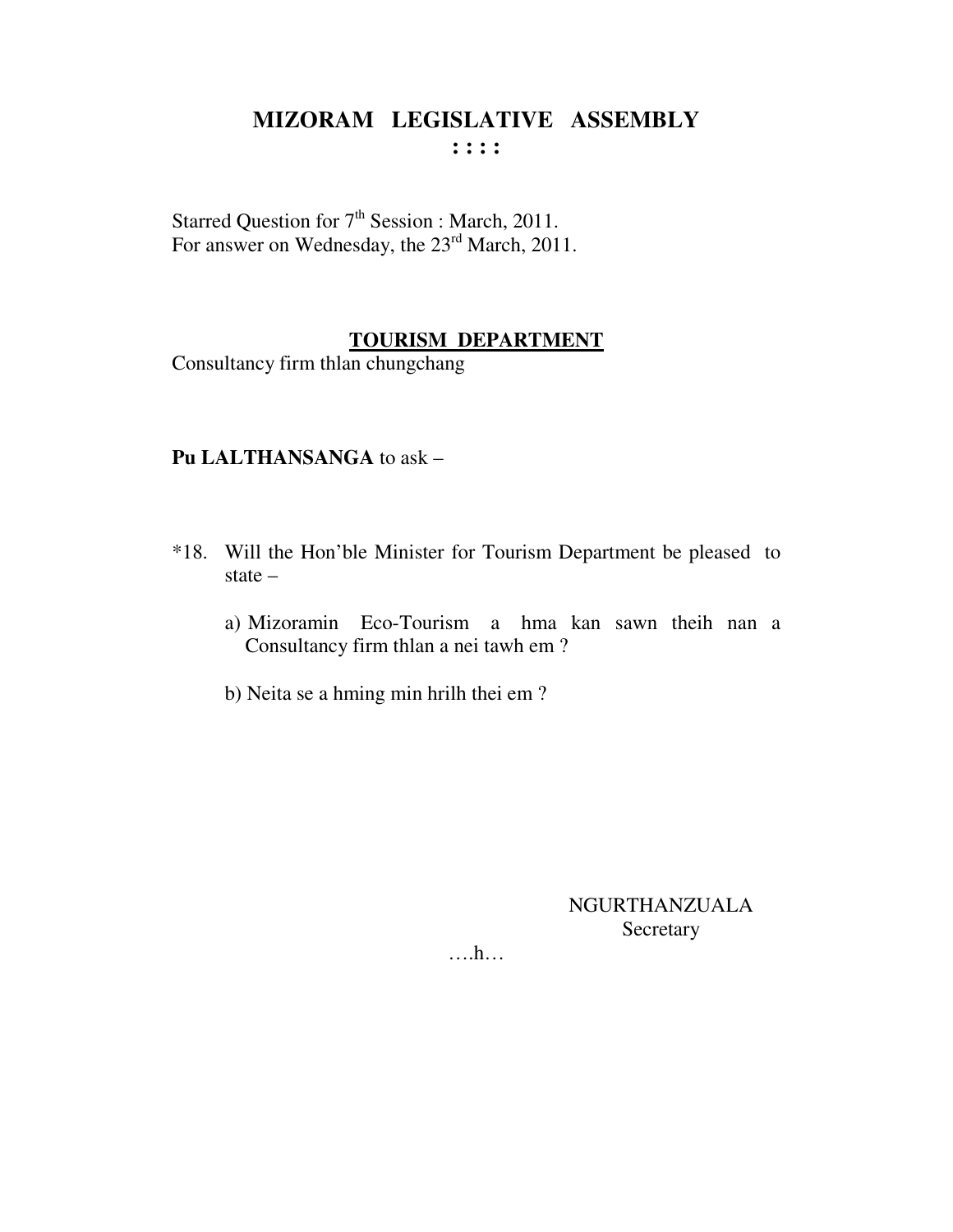Starred Question for 7<sup>th</sup> Session : March, 2011. For answer on Wednesday, the 23<sup>rd</sup> March, 2011.

## **TOURISM DEPARTMENT**

Consultancy firm thlan chungchang

#### Pu LALTHANSANGA to ask -

- \*18. Will the Hon'ble Minister for Tourism Department be pleased to state  $$ 
	- a) Mizoramin Eco-Tourism a hma kan sawn theih nan a Consultancy firm thlan a nei tawh em?
	- b) Neita se a hming min hrilh thei em?

NGURTHANZUALA Secretary

 $\dots h\dots$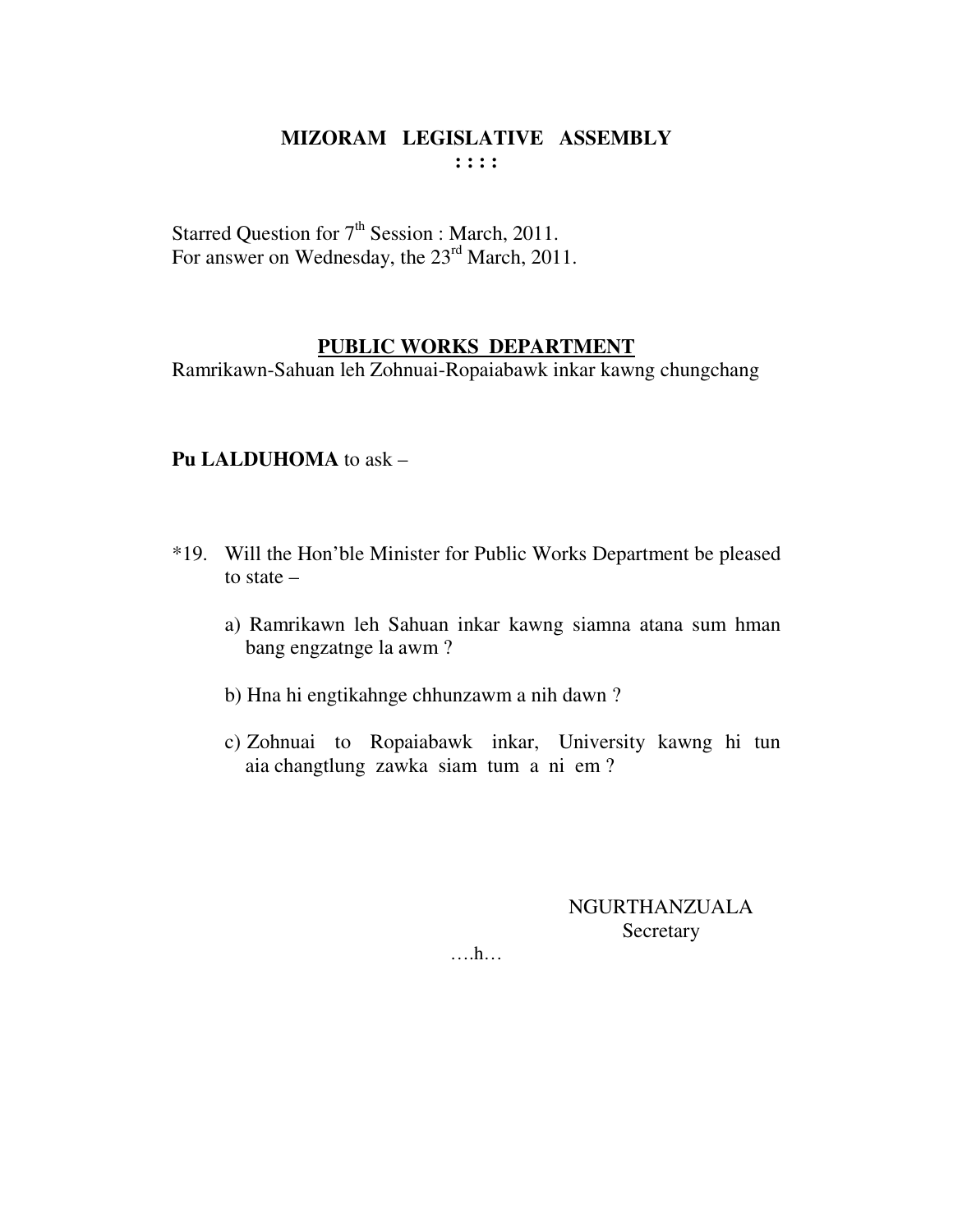Starred Question for  $7<sup>th</sup>$  Session : March, 2011. For answer on Wednesday, the 23<sup>rd</sup> March, 2011.

#### **PUBLIC WORKS DEPARTMENT**

Ramrikawn-Sahuan leh Zohnuai-Ropaiabawk inkar kawng chungchang

#### **Pu LALDUHOMA** to ask –

- \*19. Will the Hon'ble Minister for Public Works Department be pleased to state –
	- a) Ramrikawn leh Sahuan inkar kawng siamna atana sum hman bang engzatnge la awm ?
	- b) Hna hi engtikahnge chhunzawm a nih dawn ?
	- c) Zohnuai to Ropaiabawk inkar, University kawng hi tun aia changtlung zawka siam tum a ni em ?

NGURTHANZUALA Secretary

….h…